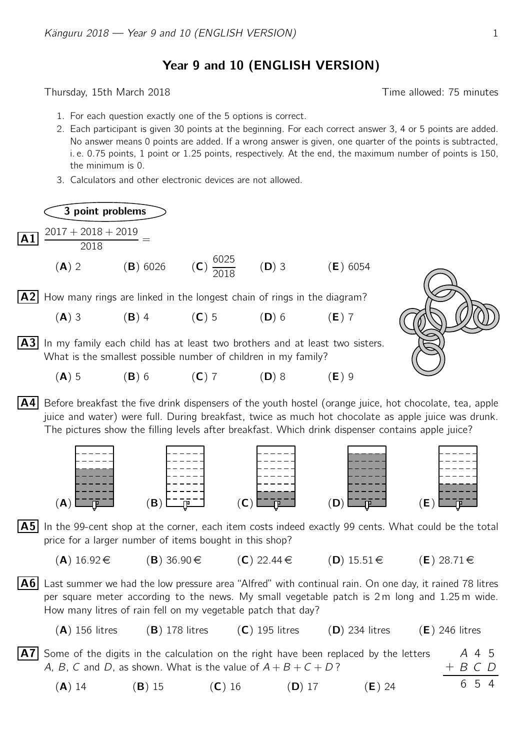Year 9 and 10 (ENGLISH VERSION)

Thursday, 15th March 2018 Time allowed: 75 minutes

- 1. For each question exactly one of the 5 options is correct.
- 2. Each participant is given 30 points at the beginning. For each correct answer 3, 4 or 5 points are added. No answer means 0 points are added. If a wrong answer is given, one quarter of the points is subtracted, i. e. 0.75 points, 1 point or 1.25 points, respectively. At the end, the maximum number of points is 150, the minimum is 0.
- 3. Calculators and other electronic devices are not allowed.

3 point problems  $\overline{A1}$   $\frac{2017 + 2018 + 2019}{201}$  $\frac{2010 + 2019}{2018} =$  $(A)$  2  $(B)$  6026 6025  $\frac{3223}{2018}$  (**D**) 3 (**E**) 6054

 $|A2|$  How many rings are linked in the longest chain of rings in the diagram?

- (A) 3 (B) 4 (C) 5 (D) 6 (E) 7
- $|A3|$  In my family each child has at least two brothers and at least two sisters. What is the smallest possible number of children in my family?
	- (A) 5 (B) 6 (C) 7 (D) 8 (E) 9
- $\mathsf{A4}$  Before breakfast the five drink dispensers of the youth hostel (orange juice, hot chocolate, tea, apple juice and water) were full. During breakfast, twice as much hot chocolate as apple juice was drunk. The pictures show the filling levels after breakfast. Which drink dispenser contains apple juice?



 $|A5|$  In the 99-cent shop at the corner, each item costs indeed exactly 99 cents. What could be the total price for a larger number of items bought in this shop?

- $(A) 16.92 \in$   $(B) 36.90 \in$   $(C) 22.44 \in$   $(D) 15.51 \in$   $(E) 28.71 \in$
- $\vert$  A6 Last summer we had the low pressure area "Alfred" with continual rain. On one day, it rained 78 litres per square meter according to the news. My small vegetable patch is 2 m long and 1.25 m wide. How many litres of rain fell on my vegetable patch that day?
	- (A) 156 litres (B) 178 litres (C) 195 litres (D) 234 litres (E) 246 litres
- A 4 5 + B C D 65  $|A7|$  Some of the digits in the calculation on the right have been replaced by the letters A, B, C and D, as shown. What is the value of  $A + B + C + D$ ?
	- (**A**) 14 (**B**) 15 (**C**) 16 (**D**) 17 (**E**) 24

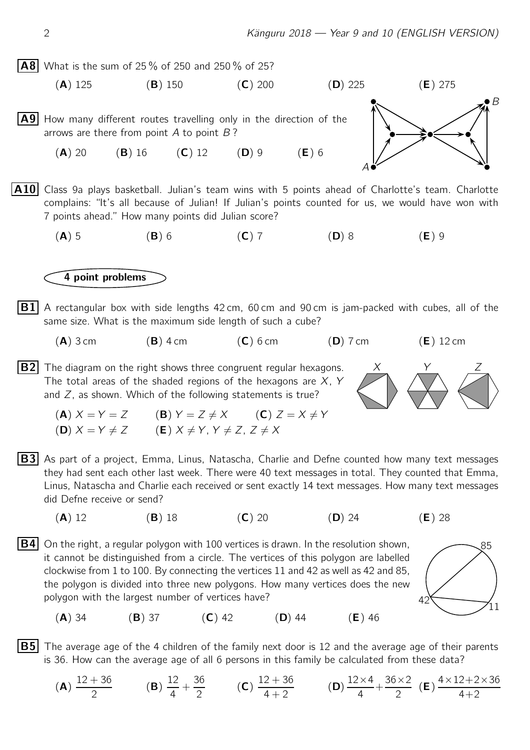**A8** What is the sum of 25% of 250 and 250% of 25?

(A) 125 (B) 150 (C) 200 (D) 225 (E) 275

 $|A9|$  How many different routes travelling only in the direction of the arrows are there from point  $A$  to point  $B$ ?

(A) 20 (B) 16 (C) 12 (D) 9 (E) 6

A10 Class 9a plays basketball. Julian's team wins with 5 points ahead of Charlotte's team. Charlotte complains: "It's all because of Julian! If Julian's points counted for us, we would have won with 7 points ahead." How many points did Julian score?

(A) 5 (B) 6 (C) 7 (D) 8 (E) 9

## 4 point problems

- $|B1|$  A rectangular box with side lengths 42 cm, 60 cm and 90 cm is jam-packed with cubes, all of the same size. What is the maximum side length of such a cube?
	- $(A)$  3 cm  $(B)$  4 cm  $(C)$  6 cm  $(D)$  7 cm  $(E)$  12 cm

 $|B2|$  The diagram on the right shows three congruent regular hexagons. The total areas of the shaded regions of the hexagons are  $X, Y$ and  $Z$ , as shown. Which of the following statements is true?

(A)  $X = Y = Z$  (B)  $Y = Z \neq X$  (C)  $Z = X \neq Y$ (D)  $X = Y \neq Z$  (E)  $X \neq Y$ ,  $Y \neq Z$ ,  $Z \neq X$ 

- $|B3|$  As part of a project, Emma, Linus, Natascha, Charlie and Defne counted how many text messages they had sent each other last week. There were 40 text messages in total. They counted that Emma, Linus, Natascha and Charlie each received or sent exactly 14 text messages. How many text messages did Defne receive or send?
	- (A) 12 (B) 18 (C) 20 (D) 24 (E) 28
- $|\mathsf{B4}|$  On the right, a regular polygon with 100 vertices is drawn. In the resolution shown,  $\sim$ 85 it cannot be distinguished from a circle. The vertices of this polygon are labelled clockwise from 1 to 100. By connecting the vertices 11 and 42 as well as 42 and 85, the polygon is divided into three new polygons. How many vertices does the new polygon with the largest number of vertices have?
	- $(A)$  34 (B) 37 (C) 42 (D) 44 (E) 46

**B5** The average age of the 4 children of the family next door is 12 and the average age of their parents is 36. How can the average age of all 6 persons in this family be calculated from these data?

(A)  $12 + 36$  $\frac{1}{2}$  (B) 12 4  $+$ 36  $\frac{2}{2}$  (C)  $12 + 36$  $\frac{2+88}{4+2}$  (D)  $12\times4$ 4  $+\frac{36\times2}{2}$  $\frac{1}{2}$  (E)  $4\times12+2\times36$  $4+2$ 





 $\bigvee_{11}$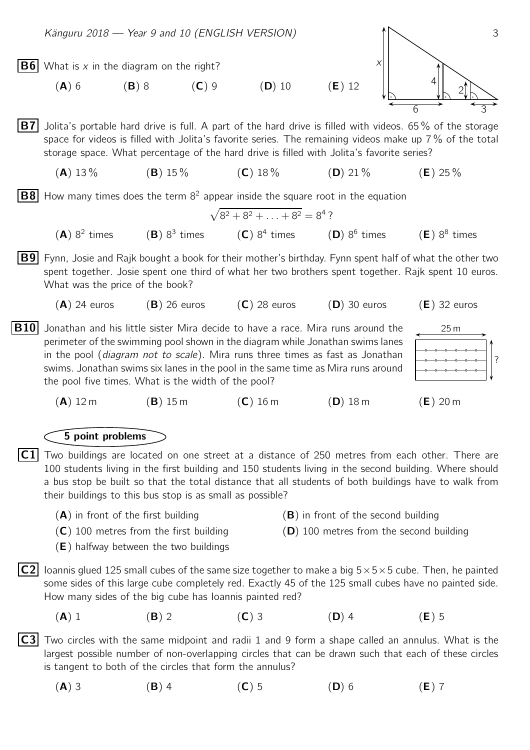

(A) 3 (B) 4 (C) 5 (D) 6 (E) 7